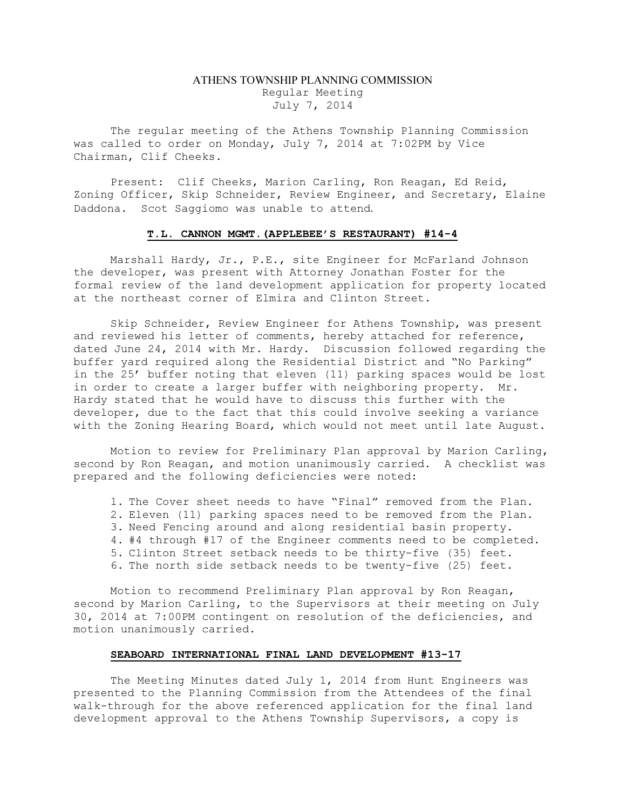## ATHENS TOWNSHIP PLANNING COMMISSION Regular Meeting July 7, 2014

The regular meeting of the Athens Township Planning Commission was called to order on Monday, July 7, 2014 at 7:02PM by Vice Chairman, Clif Cheeks.

Present: Clif Cheeks, Marion Carling, Ron Reagan, Ed Reid, Zoning Officer, Skip Schneider, Review Engineer, and Secretary, Elaine Daddona. Scot Saggiomo was unable to attend.

## T.L. CANNON MGMT.(APPLEBEE'S RESTAURANT) #14-4

Marshall Hardy, Jr., P.E., site Engineer for McFarland Johnson the developer, was present with Attorney Jonathan Foster for the formal review of the land development application for property located at the northeast corner of Elmira and Clinton Street.

Skip Schneider, Review Engineer for Athens Township, was present and reviewed his letter of comments, hereby attached for reference, dated June 24, 2014 with Mr. Hardy. Discussion followed regarding the buffer yard required along the Residential District and "No Parking" in the 25' buffer noting that eleven (11) parking spaces would be lost in order to create a larger buffer with neighboring property. Mr. Hardy stated that he would have to discuss this further with the developer, due to the fact that this could involve seeking a variance with the Zoning Hearing Board, which would not meet until late August.

Motion to review for Preliminary Plan approval by Marion Carling, second by Ron Reagan, and motion unanimously carried. A checklist was prepared and the following deficiencies were noted:

1. The Cover sheet needs to have "Final" removed from the Plan.

- 2. Eleven (11) parking spaces need to be removed from the Plan.
- 3. Need Fencing around and along residential basin property.
- 4. #4 through #17 of the Engineer comments need to be completed.
- 5. Clinton Street setback needs to be thirty-five (35) feet.
- 6. The north side setback needs to be twenty-five (25) feet.

Motion to recommend Preliminary Plan approval by Ron Reagan, second by Marion Carling, to the Supervisors at their meeting on July 30, 2014 at 7:00PM contingent on resolution of the deficiencies, and motion unanimously carried.

## SEABOARD INTERNATIONAL FINAL LAND DEVELOPMENT #13-17

The Meeting Minutes dated July 1, 2014 from Hunt Engineers was presented to the Planning Commission from the Attendees of the final walk-through for the above referenced application for the final land development approval to the Athens Township Supervisors, a copy is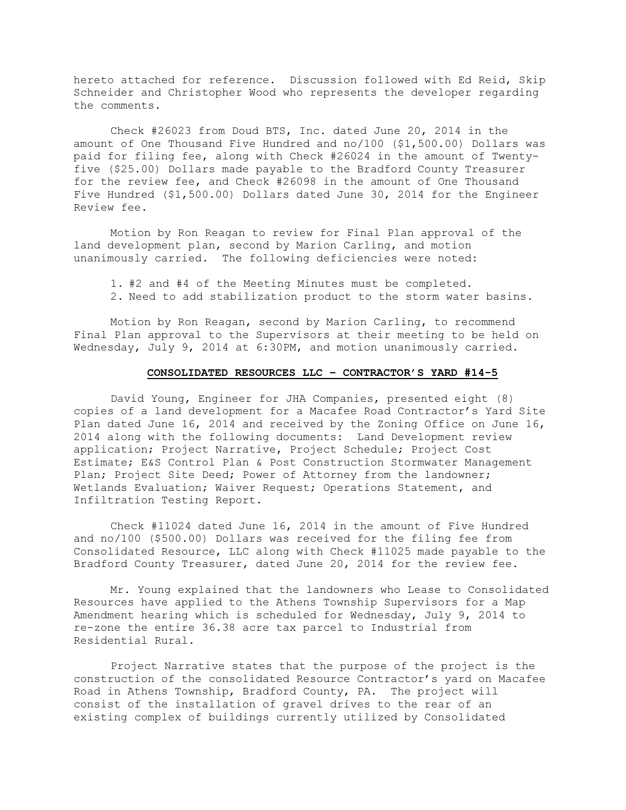hereto attached for reference. Discussion followed with Ed Reid, Skip Schneider and Christopher Wood who represents the developer regarding the comments.

Check #26023 from Doud BTS, Inc. dated June 20, 2014 in the amount of One Thousand Five Hundred and no/100 (\$1,500.00) Dollars was paid for filing fee, along with Check #26024 in the amount of Twentyfive (\$25.00) Dollars made payable to the Bradford County Treasurer for the review fee, and Check #26098 in the amount of One Thousand Five Hundred (\$1,500.00) Dollars dated June 30, 2014 for the Engineer Review fee.

Motion by Ron Reagan to review for Final Plan approval of the land development plan, second by Marion Carling, and motion unanimously carried. The following deficiencies were noted:

1. #2 and #4 of the Meeting Minutes must be completed. 2. Need to add stabilization product to the storm water basins.

Motion by Ron Reagan, second by Marion Carling, to recommend Final Plan approval to the Supervisors at their meeting to be held on Wednesday, July 9, 2014 at 6:30PM, and motion unanimously carried.

## CONSOLIDATED RESOURCES LLC – CONTRACTOR'S YARD #14-5

David Young, Engineer for JHA Companies, presented eight (8) copies of a land development for a Macafee Road Contractor's Yard Site Plan dated June 16, 2014 and received by the Zoning Office on June 16, 2014 along with the following documents: Land Development review application; Project Narrative, Project Schedule; Project Cost Estimate; E&S Control Plan & Post Construction Stormwater Management Plan; Project Site Deed; Power of Attorney from the landowner; Wetlands Evaluation; Waiver Request; Operations Statement, and Infiltration Testing Report.

Check #11024 dated June 16, 2014 in the amount of Five Hundred and no/100 (\$500.00) Dollars was received for the filing fee from Consolidated Resource, LLC along with Check #11025 made payable to the Bradford County Treasurer, dated June 20, 2014 for the review fee.

Mr. Young explained that the landowners who Lease to Consolidated Resources have applied to the Athens Township Supervisors for a Map Amendment hearing which is scheduled for Wednesday, July 9, 2014 to re-zone the entire 36.38 acre tax parcel to Industrial from Residential Rural.

Project Narrative states that the purpose of the project is the construction of the consolidated Resource Contractor's yard on Macafee Road in Athens Township, Bradford County, PA. The project will consist of the installation of gravel drives to the rear of an existing complex of buildings currently utilized by Consolidated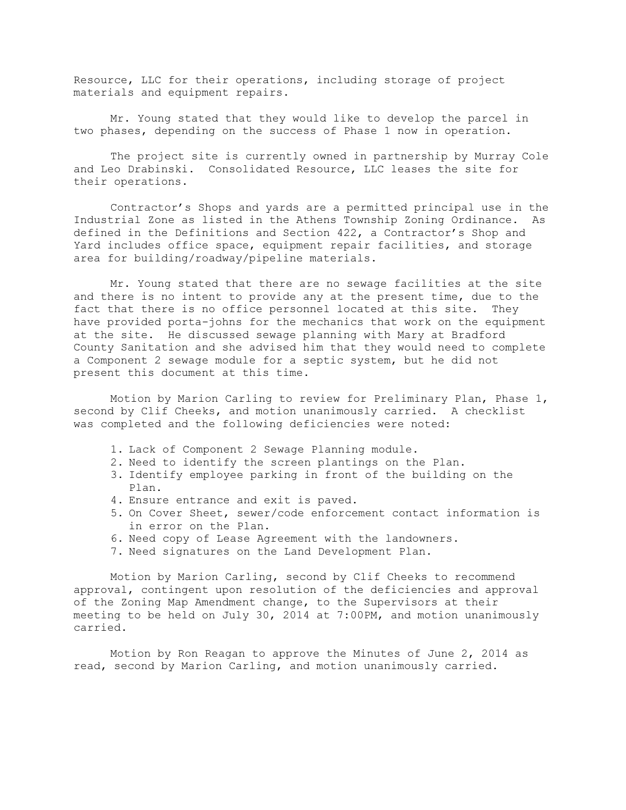Resource, LLC for their operations, including storage of project materials and equipment repairs.

Mr. Young stated that they would like to develop the parcel in two phases, depending on the success of Phase 1 now in operation.

The project site is currently owned in partnership by Murray Cole and Leo Drabinski. Consolidated Resource, LLC leases the site for their operations.

Contractor's Shops and yards are a permitted principal use in the Industrial Zone as listed in the Athens Township Zoning Ordinance. As defined in the Definitions and Section 422, a Contractor's Shop and Yard includes office space, equipment repair facilities, and storage area for building/roadway/pipeline materials.

Mr. Young stated that there are no sewage facilities at the site and there is no intent to provide any at the present time, due to the fact that there is no office personnel located at this site. They have provided porta-johns for the mechanics that work on the equipment at the site. He discussed sewage planning with Mary at Bradford County Sanitation and she advised him that they would need to complete a Component 2 sewage module for a septic system, but he did not present this document at this time.

Motion by Marion Carling to review for Preliminary Plan, Phase 1, second by Clif Cheeks, and motion unanimously carried. A checklist was completed and the following deficiencies were noted:

- 1. Lack of Component 2 Sewage Planning module.
- 2. Need to identify the screen plantings on the Plan.
- 3. Identify employee parking in front of the building on the Plan.
- 4. Ensure entrance and exit is paved.
- 5. On Cover Sheet, sewer/code enforcement contact information is in error on the Plan.
- 6. Need copy of Lease Agreement with the landowners.
- 7. Need signatures on the Land Development Plan.

Motion by Marion Carling, second by Clif Cheeks to recommend approval, contingent upon resolution of the deficiencies and approval of the Zoning Map Amendment change, to the Supervisors at their meeting to be held on July 30, 2014 at 7:00PM, and motion unanimously carried.

Motion by Ron Reagan to approve the Minutes of June 2, 2014 as read, second by Marion Carling, and motion unanimously carried.